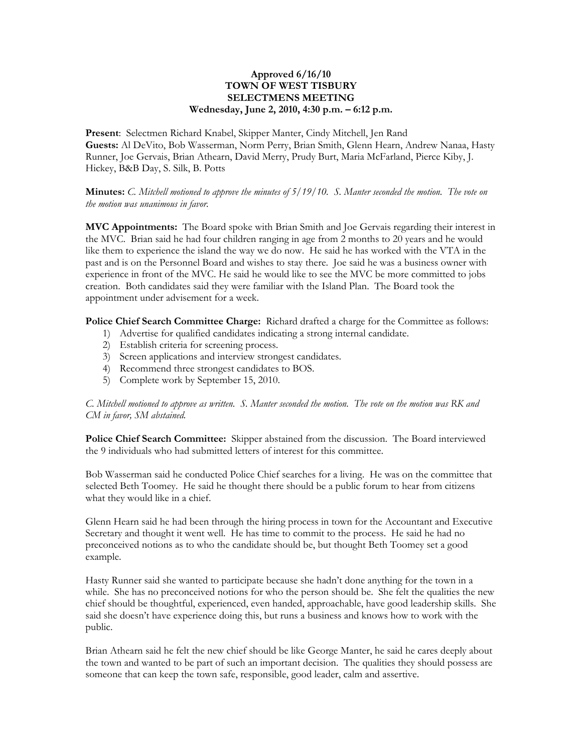## **Approved 6/16/10 TOWN OF WEST TISBURY SELECTMENS MEETING Wednesday, June 2, 2010, 4:30 p.m. – 6:12 p.m.**

**Present**: Selectmen Richard Knabel, Skipper Manter, Cindy Mitchell, Jen Rand **Guests:** Al DeVito, Bob Wasserman, Norm Perry, Brian Smith, Glenn Hearn, Andrew Nanaa, Hasty Runner, Joe Gervais, Brian Athearn, David Merry, Prudy Burt, Maria McFarland, Pierce Kiby, J. Hickey, B&B Day, S. Silk, B. Potts

**Minutes:** *C. Mitchell motioned to approve the minutes of 5/19/10. S. Manter seconded the motion. The vote on the motion was unanimous in favor.*

**MVC Appointments:** The Board spoke with Brian Smith and Joe Gervais regarding their interest in the MVC. Brian said he had four children ranging in age from 2 months to 20 years and he would like them to experience the island the way we do now. He said he has worked with the VTA in the past and is on the Personnel Board and wishes to stay there. Joe said he was a business owner with experience in front of the MVC. He said he would like to see the MVC be more committed to jobs creation. Both candidates said they were familiar with the Island Plan. The Board took the appointment under advisement for a week.

**Police Chief Search Committee Charge:** Richard drafted a charge for the Committee as follows:

- 1) Advertise for qualified candidates indicating a strong internal candidate.
- 2) Establish criteria for screening process.
- 3) Screen applications and interview strongest candidates.
- 4) Recommend three strongest candidates to BOS.
- 5) Complete work by September 15, 2010.

*C. Mitchell motioned to approve as written. S. Manter seconded the motion. The vote on the motion was RK and CM in favor, SM abstained.* 

**Police Chief Search Committee:** Skipper abstained from the discussion. The Board interviewed the 9 individuals who had submitted letters of interest for this committee.

Bob Wasserman said he conducted Police Chief searches for a living. He was on the committee that selected Beth Toomey. He said he thought there should be a public forum to hear from citizens what they would like in a chief.

Glenn Hearn said he had been through the hiring process in town for the Accountant and Executive Secretary and thought it went well. He has time to commit to the process. He said he had no preconceived notions as to who the candidate should be, but thought Beth Toomey set a good example.

Hasty Runner said she wanted to participate because she hadn't done anything for the town in a while. She has no preconceived notions for who the person should be. She felt the qualities the new chief should be thoughtful, experienced, even handed, approachable, have good leadership skills. She said she doesn't have experience doing this, but runs a business and knows how to work with the public.

Brian Athearn said he felt the new chief should be like George Manter, he said he cares deeply about the town and wanted to be part of such an important decision. The qualities they should possess are someone that can keep the town safe, responsible, good leader, calm and assertive.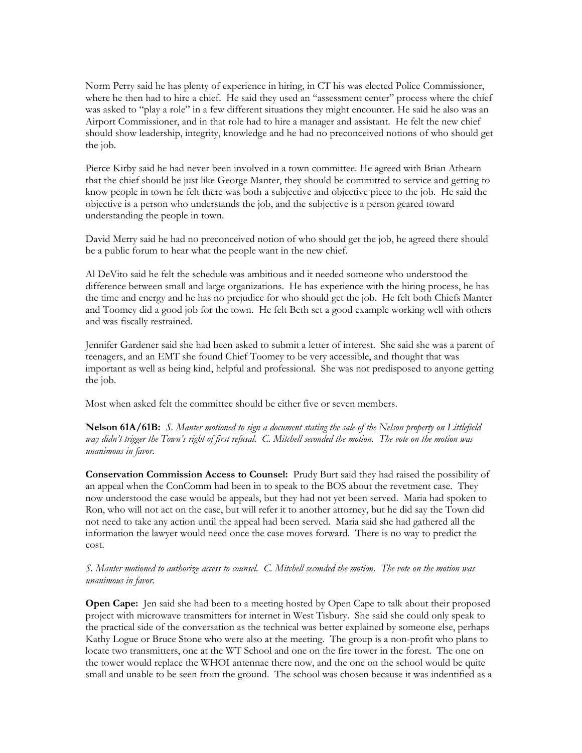Norm Perry said he has plenty of experience in hiring, in CT his was elected Police Commissioner, where he then had to hire a chief. He said they used an "assessment center" process where the chief was asked to "play a role" in a few different situations they might encounter. He said he also was an Airport Commissioner, and in that role had to hire a manager and assistant. He felt the new chief should show leadership, integrity, knowledge and he had no preconceived notions of who should get the job.

Pierce Kirby said he had never been involved in a town committee. He agreed with Brian Athearn that the chief should be just like George Manter, they should be committed to service and getting to know people in town he felt there was both a subjective and objective piece to the job. He said the objective is a person who understands the job, and the subjective is a person geared toward understanding the people in town.

David Merry said he had no preconceived notion of who should get the job, he agreed there should be a public forum to hear what the people want in the new chief.

Al DeVito said he felt the schedule was ambitious and it needed someone who understood the difference between small and large organizations. He has experience with the hiring process, he has the time and energy and he has no prejudice for who should get the job. He felt both Chiefs Manter and Toomey did a good job for the town. He felt Beth set a good example working well with others and was fiscally restrained.

Jennifer Gardener said she had been asked to submit a letter of interest. She said she was a parent of teenagers, and an EMT she found Chief Toomey to be very accessible, and thought that was important as well as being kind, helpful and professional. She was not predisposed to anyone getting the job.

Most when asked felt the committee should be either five or seven members.

**Nelson 61A/61B:** *S. Manter motioned to sign a document stating the sale of the Nelson property on Littlefield way didn't trigger the Town's right of first refusal. C. Mitchell seconded the motion. The vote on the motion was unanimous in favor.*

**Conservation Commission Access to Counsel:** Prudy Burt said they had raised the possibility of an appeal when the ConComm had been in to speak to the BOS about the revetment case. They now understood the case would be appeals, but they had not yet been served. Maria had spoken to Ron, who will not act on the case, but will refer it to another attorney, but he did say the Town did not need to take any action until the appeal had been served. Maria said she had gathered all the information the lawyer would need once the case moves forward. There is no way to predict the cost.

*S. Manter motioned to authorize access to counsel. C. Mitchell seconded the motion. The vote on the motion was unanimous in favor.*

**Open Cape:** Jen said she had been to a meeting hosted by Open Cape to talk about their proposed project with microwave transmitters for internet in West Tisbury. She said she could only speak to the practical side of the conversation as the technical was better explained by someone else, perhaps Kathy Logue or Bruce Stone who were also at the meeting. The group is a non-profit who plans to locate two transmitters, one at the WT School and one on the fire tower in the forest. The one on the tower would replace the WHOI antennae there now, and the one on the school would be quite small and unable to be seen from the ground. The school was chosen because it was indentified as a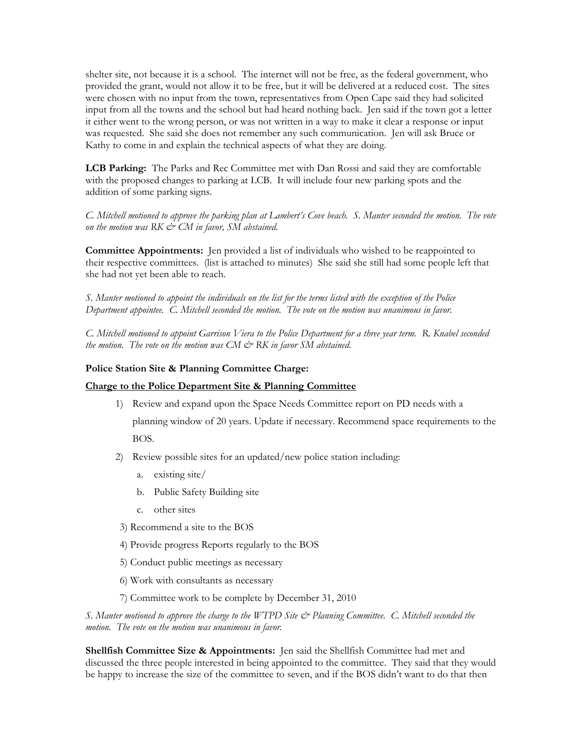shelter site, not because it is a school. The internet will not be free, as the federal government, who provided the grant, would not allow it to be free, but it will be delivered at a reduced cost. The sites were chosen with no input from the town, representatives from Open Cape said they had solicited input from all the towns and the school but had heard nothing back. Jen said if the town got a letter it either went to the wrong person, or was not written in a way to make it clear a response or input was requested. She said she does not remember any such communication. Jen will ask Bruce or Kathy to come in and explain the technical aspects of what they are doing.

**LCB Parking:** The Parks and Rec Committee met with Dan Rossi and said they are comfortable with the proposed changes to parking at LCB. It will include four new parking spots and the addition of some parking signs.

*C. Mitchell motioned to approve the parking plan at Lambert's Cove beach. S. Manter seconded the motion. The vote on the motion was RK & CM in favor, SM abstained.*

**Committee Appointments:** Jen provided a list of individuals who wished to be reappointed to their respective committees. (list is attached to minutes) She said she still had some people left that she had not yet been able to reach.

*S. Manter motioned to appoint the individuals on the list for the terms listed with the exception of the Police Department appointee. C. Mitchell seconded the motion. The vote on the motion was unanimous in favor.* 

*C. Mitchell motioned to appoint Garrison Viera to the Police Department for a three year term. R. Knabel seconded the motion. The vote on the motion was CM & RK in favor SM abstained.*

#### **Police Station Site & Planning Committee Charge:**

### **Charge to the Police Department Site & Planning Committee**

- 1) Review and expand upon the Space Needs Committee report on PD needs with a planning window of 20 years. Update if necessary. Recommend space requirements to the BOS.
- 2) Review possible sites for an updated/new police station including:
	- a. existing site/
	- b. Public Safety Building site
	- c. other sites
- 3) Recommend a site to the BOS
- 4) Provide progress Reports regularly to the BOS
- 5) Conduct public meetings as necessary
- 6) Work with consultants as necessary
- 7) Committee work to be complete by December 31, 2010

*S. Manter motioned to approve the charge to the WTPD Site*  $\mathcal{O}$  *Planning Committee. C. Mitchell seconded the motion. The vote on the motion was unanimous in favor.*

**Shellfish Committee Size & Appointments:** Jen said the Shellfish Committee had met and discussed the three people interested in being appointed to the committee. They said that they would be happy to increase the size of the committee to seven, and if the BOS didn't want to do that then